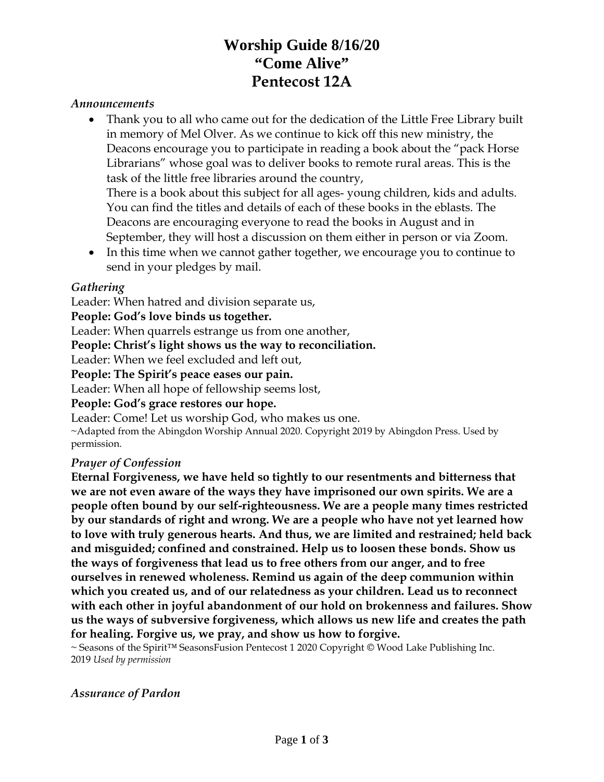# **Worship Guide 8/16/20 "Come Alive" Pentecost 12A**

#### *Announcements*

• Thank you to all who came out for the dedication of the Little Free Library built in memory of Mel Olver. As we continue to kick off this new ministry, the Deacons encourage you to participate in reading a book about the "pack Horse Librarians" whose goal was to deliver books to remote rural areas. This is the task of the little free libraries around the country,

There is a book about this subject for all ages- young children, kids and adults. You can find the titles and details of each of these books in the eblasts. The Deacons are encouraging everyone to read the books in August and in September, they will host a discussion on them either in person or via Zoom.

• In this time when we cannot gather together, we encourage you to continue to send in your pledges by mail.

#### *Gathering*

Leader: When hatred and division separate us,

**People: God's love binds us together.**

Leader: When quarrels estrange us from one another,

**People: Christ's light shows us the way to reconciliation.**

Leader: When we feel excluded and left out,

#### **People: The Spirit's peace eases our pain.**

Leader: When all hope of fellowship seems lost,

#### **People: God's grace restores our hope.**

Leader: Come! Let us worship God, who makes us one.

~Adapted from the Abingdon Worship Annual 2020. Copyright 2019 by Abingdon Press. Used by permission.

#### *Prayer of Confession*

**Eternal Forgiveness, we have held so tightly to our resentments and bitterness that we are not even aware of the ways they have imprisoned our own spirits. We are a people often bound by our self-righteousness. We are a people many times restricted by our standards of right and wrong. We are a people who have not yet learned how to love with truly generous hearts. And thus, we are limited and restrained; held back and misguided; confined and constrained. Help us to loosen these bonds. Show us the ways of forgiveness that lead us to free others from our anger, and to free ourselves in renewed wholeness. Remind us again of the deep communion within which you created us, and of our relatedness as your children. Lead us to reconnect with each other in joyful abandonment of our hold on brokenness and failures. Show us the ways of subversive forgiveness, which allows us new life and creates the path for healing. Forgive us, we pray, and show us how to forgive.**

~ Seasons of the Spirit™ SeasonsFusion Pentecost 1 2020 Copyright © Wood Lake Publishing Inc. 2019 *Used by permission*

#### *Assurance of Pardon*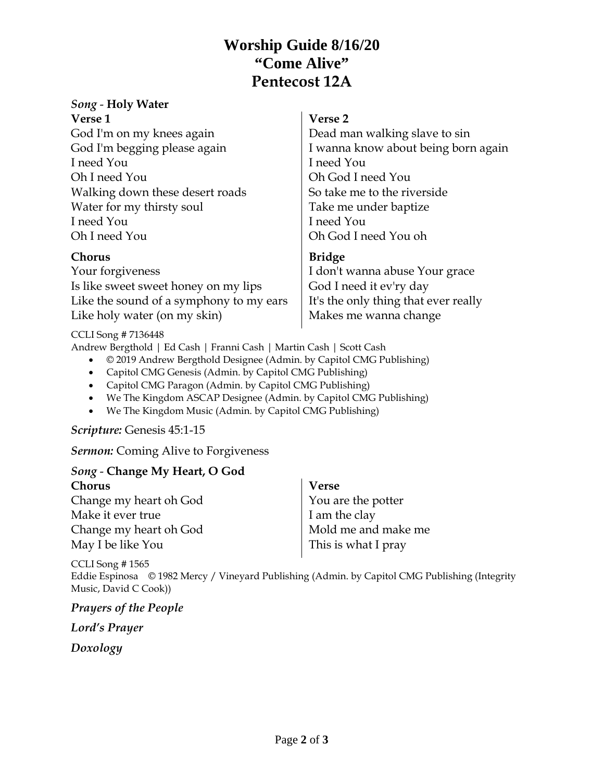## **Worship Guide 8/16/20 "Come Alive" Pentecost 12A**

# *Song* - **Holy Water**

| <b>Verse 1</b> |  |  |
|----------------|--|--|
|                |  |  |

God I'm on my knees again God I'm begging please again I need You Oh I need You Walking down these desert roads Water for my thirsty soul I need You Oh I need You

### **Chorus**

Your forgiveness Is like sweet sweet honey on my lips Like the sound of a symphony to my ears Like holy water (on my skin)

# **Verse 2**

Dead man walking slave to sin I wanna know about being born again I need You Oh God I need You So take me to the riverside Take me under baptize I need You Oh God I need You oh

### **Bridge**

I don't wanna abuse Your grace God I need it ev'ry day It's the only thing that ever really Makes me wanna change

#### CCLI Song # 7136448

Andrew Bergthold | Ed Cash | Franni Cash | Martin Cash | Scott Cash

- © 2019 Andrew Bergthold Designee (Admin. by Capitol CMG Publishing)
- Capitol CMG Genesis (Admin. by Capitol CMG Publishing)
- Capitol CMG Paragon (Admin. by Capitol CMG Publishing)
- We The Kingdom ASCAP Designee (Admin. by Capitol CMG Publishing)
- We The Kingdom Music (Admin. by Capitol CMG Publishing)

### *Scripture:* Genesis 45:1-15

*Sermon:* Coming Alive to Forgiveness

#### *Song* - **Change My Heart, O God Chorus** Change my heart oh God Make it ever true Change my heart oh God **Verse** You are the potter I am the clay Mold me and make me This is what I pray

CCLI Song # 1565 Eddie Espinosa © 1982 Mercy / Vineyard Publishing (Admin. by Capitol CMG Publishing (Integrity Music, David C Cook))

*Prayers of the People* 

May I be like You

*Lord's Prayer*

*Doxology*